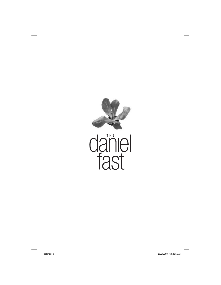

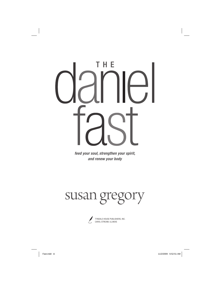# T H E

*feed your soul, strengthen your spirit, and renew your body*

# susan gregory



TYNDALE HOUSE PUBLISHERS, INC. CAROL STREAM, ILLINOIS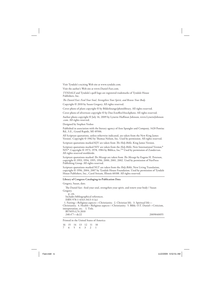Visit Tyndale's exciting Web site at www.tyndale.com.

Visit the author's Web site at www.Daniel-Fast.com.

*TYNDALE* and Tyndale's quill logo are registered trademarks of Tyndale House Publishers, Inc.

The Daniel Fast: Feed Your Soul, Strengthen Your Spirit, and Renew Your Body

Copyright © 2010 by Susan Gregory. All rights reserved.

Cover photo of plant copyright © by Bilderlounge/photolibrary. All rights reserved.

Cover photo of silverware copyright © by Dan Esteffes/iStockphoto. All rights reserved.

Author photo copyright © July 16, 2009 by Lynette Huffman Johnson, www.LynetteJohnson .com. All rights reserved.

Designed by Stephen Vosloo

Published in association with the literary agency of Ann Spangler and Company, 1420 Pontiac Rd., S.E., Grand Rapids, MI 49506.

All Scripture quotations, unless otherwise indicated, are taken from the New King James Version'. Copyright © 1982 by Thomas Nelson, Inc. Used by permission. All rights reserved.

Scripture quotations marked KJV are taken from *The Holy Bible*, King James Version.

Scripture quotations marked NIV are taken from the *Holy Bible*, New International Version,<sup>®</sup><br>NIV®. Copyright © 1973, 1978, 1984 by Biblica, Inc.™ Used by permission of Zondervan. All rights reserved worldwide.

Scripture quotations marked *The Message* are taken from *The Message* by Eugene H. Peterson, copyright © 1993, 1994, 1995, 1996, 2000, 2001, 2002. Used by permission of NavPress Publishing Group. All rights reserved.

Scripture quotations marked NLT are taken from the *Holy Bible*, New Living Translation, copyright © 1996, 2004, 2007 by Tyndale House Foundation. Used by permission of Tyndale House Publishers, Inc., Carol Stream, Illinois 60188. All rights reserved.

#### **Library of Congress Cataloging-in-Publication Data**

Gregory, Susan, date.

The Daniel fast : feed your soul, strengthen your spirit, and renew your body / Susan Gregory. p. cm. Includes bibliographical references. ISBN 978-1-4143-3413-4 (sc) 1. Fasting—Religious aspects—Christianity. 2. Christian life. 3. Spiritual life— Christianity. 4. Health—Religious aspects—Christianity. 5. Bible. O.T. Daniel—Criticism, interpretation, etc. I. Title. BV5055.G74 2010 248.4′7—dc22 2009040055

Printed in the United States of America

16 15 14 13 12 11 10 7 6 5 4 3 2 1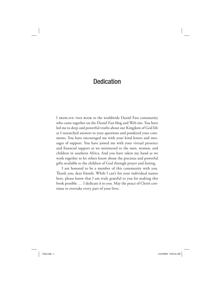## **Dedication**

I DEDICATE THIS BOOK to the worldwide Daniel Fast community who came together on the Daniel Fast blog and Web site. You have led me to deep and powerful truths about our Kingdom of God life as I researched answers to your questions and pondered your comments. You have encouraged me with your kind letters and messages of support. You have joined me with your virtual presence and financial support as we ministered to the men, women, and children in southern Africa. And you have taken my hand as we work together to let others know about the precious and powerful gifts available to the children of God through prayer and fasting.

I am honored to be a member of this community with you. Thank you, dear friends. While I can't list your individual names here, please know that I am truly grateful to you for making this book possible . . . I dedicate it to you. May the peace of Christ continue to overtake every part of your lives.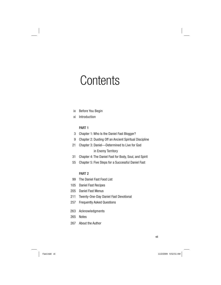# **Contents**

- ix Before You Begin
- xi Introduction

#### PART 1

- 3 Chapter 1: Who Is the Daniel Fast Blogger?
- 9 Chapter 2: Dusting Off an Ancient Spiritual Discipline
- 21 Chapter 3: Daniel—Determined to Live for God in Enemy Territory
- 31 Chapter 4: The Daniel Fast for Body, Soul, and Spirit
- 55 Chapter 5: Five Steps for a Successful Daniel Fast

#### PART 2

- 99 The Daniel Fast Food List
- 105 Daniel Fast Recipes
- 205 Daniel Fast Menus
- 211 Twenty-One-Day Daniel Fast Devotional
- 257 Frequently Asked Questions
- 263 Acknowledgments
- 265 Notes
- 267 About the Author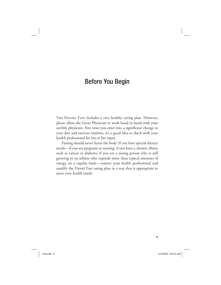## Before You Begin

The Daniel Fast includes a very healthy eating plan. However, please allow the Great Physician to work hand in hand with your earthly physician. Any time you enter into a significant change to your diet and exercise routines, it's a good idea to check with your health professional for his or her input.

Fasting should never harm the body. If you have special dietary needs—if you are pregnant or nursing, if you have a chronic illness such as cancer or diabetes, if you are a young person who is still growing or an athlete who expends more than typical amounts of energy on a regular basis—contact your health professional and modify the Daniel Fast eating plan in a way that is appropriate to meet your health needs.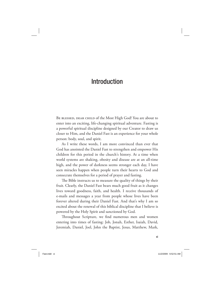## Introduction

BE BLESSED, DEAR CHILD of the Most High God! You are about to enter into an exciting, life-changing spiritual adventure. Fasting is a powerful spiritual discipline designed by our Creator to draw us closer to Him, and the Daniel Fast is an experience for your whole person: body, soul, and spirit.

As I write these words, I am more convinced than ever that God has anointed the Daniel Fast to strengthen and empower His children for this period in the church's history. At a time when world systems are shaking, obesity and disease are at an all-time high, and the power of darkness seems stronger each day, I have seen miracles happen when people turn their hearts to God and consecrate themselves for a period of prayer and fasting.

The Bible instructs us to measure the quality of things by their fruit. Clearly, the Daniel Fast bears much good fruit as it changes lives toward goodness, faith, and health. I receive thousands of e-mails and messages a year from people whose lives have been forever altered during their Daniel Fast. And that's why I am so excited about the renewal of this biblical discipline that I believe is powered by the Holy Spirit and sanctioned by God.

Throughout Scripture, we find numerous men and women entering into times of fasting: Job, Jonah, Esther, Isaiah, David, Jeremiah, Daniel, Joel, John the Baptist, Jesus, Matthew, Mark,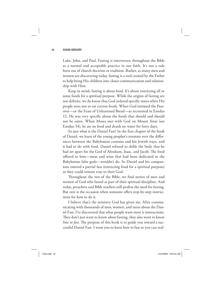Luke, John, and Paul. Fasting is interwoven throughout the Bible as a normal and acceptable practice in our faith. It's not a rule born out of church doctrine or tradition. Rather, as many men and women are discovering today, fasting is a tool created by the Father to help bring His children into closer communication and relationship with Him.

Keep in mind, fasting is about food. It's about restricting all or some foods for a spiritual purpose. While the origins of fasting are not definite, we do know that God ordered specific times when His people were not to eat certain foods. When God initiated the Passover—or the Feast of Unleavened Bread—as recounted in Exodus 12, He was very specific about the foods that should and should not be eaten. When Moses met with God on Mount Sinai (see Exodus 34), he ate no food and drank no water for forty days.

So just what is the Daniel Fast? In the first chapter of the book of Daniel, we learn of the young prophet's tensions over the differences between the Babylonian customs and his Jewish ways, and it had to do with food. Daniel refused to defile the body that he had set apart for the God of Abraham, Isaac, and Jacob. The food offered to him—meat and wine that had been dedicated to the Babylonian false gods—wouldn't do. So Daniel and his companions entered a partial fast (restricting food for a spiritual purpose) so they could remain true to their God.

Throughout the rest of the Bible, we find stories of men and women of God who fasted as part of their spiritual discipline. And today, preachers and Bible teachers still profess the need for fasting. But rare is the occasion when someone offers step-by-step instructions for how to do it.

I believe that's the ministry God has given me. After communicating with thousands of men, women, and teens about the Daniel Fast, I've discovered that what people want most is instructions. They don't just want to know *about* fasting, they also want to know *how to fast*. The purpose of this book is to guide you toward a successful Daniel Fast. I want you to learn how to fast so you can real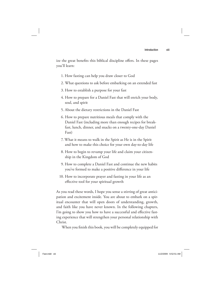ize the great benefits this biblical discipline offers. In these pages you'll learn:

- 1. How fasting can help you draw closer to God
- 2. What questions to ask before embarking on an extended fast
- 3. How to establish a purpose for your fast
- 4. How to prepare for a Daniel Fast that will enrich your body, soul, and spirit
- 5. About the dietary restrictions in the Daniel Fast
- 6. How to prepare nutritious meals that comply with the Daniel Fast (including more than enough recipes for breakfast, lunch, dinner, and snacks on a twenty-one-day Daniel Fast)
- 7. What it means to walk in the Spirit as He is in the Spirit and how to make this choice for your own day-to-day life
- 8. How to begin to revamp your life and claim your citizenship in the Kingdom of God
- 9. How to complete a Daniel Fast and continue the new habits you've formed to make a positive difference in your life
- 10. How to incorporate prayer and fasting in your life as an effective tool for your spiritual growth

As you read these words, I hope you sense a stirring of great anticipation and excitement inside. You are about to embark on a spiritual encounter that will open doors of understanding, growth, and faith like you have never known. In the following chapters, I'm going to show you how to have a successful and effective fasting experience that will strengthen your personal relationship with Christ.

When you finish this book, you will be completely equipped for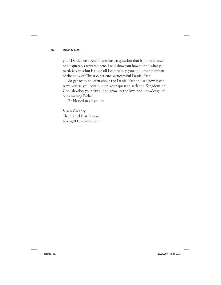your Daniel Fast. And if you have a question that is not addressed or adequately answered here, I will show you how to find what you need. My mission is to do all I can to help you and other members of the body of Christ experience a successful Daniel Fast.

So get ready to learn about the Daniel Fast and see how it can serve you as you continue on your quest to seek the Kingdom of God, develop your faith, and grow in the love and knowledge of our amazing Father.

Be blessed in all you do.

Susan Gregory The Daniel Fast Blogger Susan@Daniel-Fast.com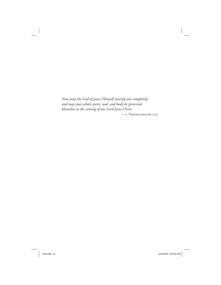*Now may the God of peace Himself sanctify you completely; and may your whole spirit, soul, and body be preserved blameless at the coming of our Lord Jesus Christ.* 

— THESSALONIANS 5:23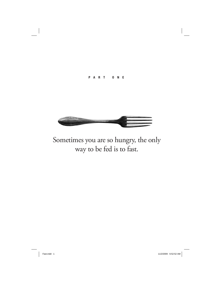#### **PART ONE**



## Sometimes you are so hungry, the only way to be fed is to fast.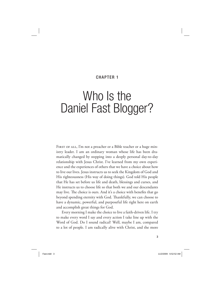#### CHAPTER 1

# Who Is the Daniel Fast Blogger?

FIRST OF ALL, I'm not a preacher or a Bible teacher or a huge ministry leader. I am an ordinary woman whose life has been dramatically changed by stepping into a deeply personal day-to-day relationship with Jesus Christ. I've learned from my own experience and the experiences of others that we have a choice about how to live our lives. Jesus instructs us to seek the Kingdom of God and His righteousness (His way of doing things). God told His people that He has set before us life and death, blessings and curses, and He instructs us to choose life so that both we and our descendants may live. The choice is ours. And it's a choice with benefits that go beyond spending eternity with God. Thankfully, we can choose to have a dynamic, powerful, and purposeful life right here on earth and accomplish great things for God.

Every morning I make the choice to live a faith-driven life. I try to make every word I say and every action I take line up with the Word of God. Do I sound radical? Well, maybe I am, compared to a lot of people. I am radically alive with Christ, and the more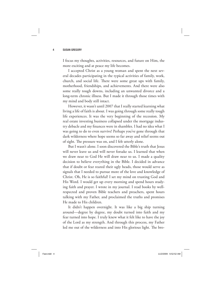I focus my thoughts, activities, resources, and future on Him, the more exciting and at peace my life becomes.

I accepted Christ as a young woman and spent the next several decades participating in the typical activities of family, work, church, and social life. There were some great ups with family, motherhood, friendships, and achievements. And there were also some really tough downs, including an unwanted divorce and a long-term chronic illness. But I made it through those times with my mind and body still intact.

However, it wasn't until 2007 that I really started learning what living a life of faith is about. I was going through some really tough life experiences. It was the very beginning of the recession. My real estate investing business collapsed under the mortgage industry debacle and my finances were in shambles. I had no idea what I was going to do to even survive! Perhaps you've gone through that dark wilderness where hope seems so far away and relief seems out of sight. The pressure was on, and I felt utterly alone.

But I wasn't alone. I soon discovered the Bible's truth that Jesus will never leave us and will never forsake us. I learned that when we draw near to God He will draw near to us. I made a quality decision to believe everything in the Bible. I decided in advance that if doubt or fear reared their ugly heads, those would serve as signals that I needed to pursue more of the love and knowledge of Christ. Oh, He is so faithful! I set my mind on trusting God and His Word. I would get up every morning and spend hours studying faith and prayer. I wrote in my journal. I read books by wellrespected and proven Bible teachers and preachers, spent hours talking with my Father, and proclaimed the truths and promises He made to His children.

It didn't happen overnight. It was like a big ship turning around—degree by degree, my doubt turned into faith and my fear turned into hope. I truly knew what it felt like to have the joy of the Lord as my strength. And through this process, my Father led me out of the wilderness and into His glorious light. The bro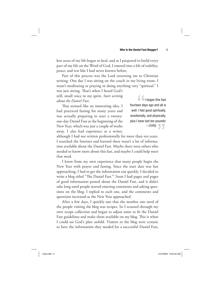ken areas of my life began to heal, and as I purposed to build every part of my life on the Word of God, I entered into a life of stability, peace, and rest like I had never known before.

Part of this process was the Lord returning me to Christian writing. One day I was sitting on the couch in my living room. I wasn't meditating or praying or doing anything very "spiritual." I was just sitting. That's when I heard God's

still, small voice in my spirit, *Start writing about the Daniel Fast.*

That seemed like an interesting idea. I had practiced fasting for many years and was actually preparing to start a twentyone-day Daniel Fast at the beginning of the New Year, which was just a couple of weeks away. I also had experience as a writer,

" I began this fast fourteen days ago and all is well. I feel good spiritually, emotionally, and physically, plus I have lost ten pounds!

New Year, which was just a couple of weeks *—Corby*<br>
away. I also had experience as a writer,<br>
although I had not written professionally for more than ten years.<br>
I searched the Internet and learned there wasn't a lot of i although I had not written professionally for more than ten years. tion available about the Daniel Fast. Maybe there were others who needed to know more about this fast, and maybe I could help meet that need.

I knew from my own experience that many people begin the New Year with prayer and fasting. Since the start date was fast approaching, I had to get the information out quickly. I decided to write a blog titled "The Daniel Fast."<sup>1</sup> Soon I had pages and pages of good information posted about the Daniel Fast, and it didn't take long until people started entering comments and asking questions on the blog. I replied to each one, and the comments and questions increased as the New Year approached.

After a few days, I quickly saw that the number one need of the people visiting the blog was recipes. So I scoured through my own recipe collection and began to adjust some to fit the Daniel Fast guidelines and make them available on my blog. This is when I could see God's plan unfold. Visitors to the blog were ecstatic to have the information they needed for a successful Daniel Fast,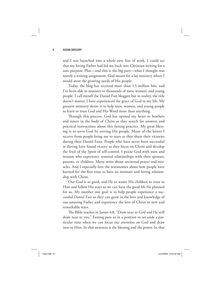and I was launched into a whole new line of work. I could see that my loving Father had led me back into Christian writing for a sure purpose. Plus—and this is the big part—what I thought was merely a writing assignment, God meant for a lay ministry where I would meet the growing needs of His people.

Today, the blog has received more than 1.5 million hits, and I've been able to minister to thousands of men, women, and young people. I call myself the Daniel Fast blogger, but in reality, the title doesn't matter. I have experienced the grace of God in my life. My greatest ministry desire is to help men, women, and young people to learn to trust God and His Word more than anything.

Through this process, God has opened my heart to brothers and sisters in the body of Christ as they search for answers and practical instructions about this fasting practice. My great blessing is to serve God by serving His people. Many of the letters I receive from people bring me to tears as they share their victories during their Daniel Fasts. People who have never been successful at dieting have found victory as they focus on Christ and develop the fruit of the Spirit of self-control. I praise God with men and women who experience restored relationships with their spouses, parents, or children. Many write about answered prayer and miracles. And I especially love the testimonies about how people have learned for the first time to have an intimate and loving relationship with Christ.

Our God is so good, and He so wants His children to trust in Him and follow His ways so we can have the good life He planned for us. My number one goal is to help people experience a successful Daniel Fast so they can grow in the love and knowledge of our amazing Father and experience the love of Christ in new and remarkable ways.

The Bible teaches in James 4:8, "Draw near to God and He will draw near to you." Fasting puts us in a position to set aside a particular time when we can focus our attention on God and draw near to Him. In that nearness is the blessing and the power. In that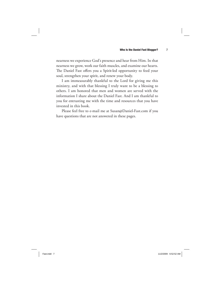nearness we experience God's presence and hear from Him. In that nearness we grow, work our faith muscles, and examine our hearts. The Daniel Fast offers you a Spirit-led opportunity to feed your soul, strengthen your spirit, and renew your body.

I am immeasurably thankful to the Lord for giving me this ministry, and with that blessing I truly want to be a blessing to others. I am honored that men and women are served with the information I share about the Daniel Fast. And I am thankful to you for entrusting me with the time and resources that you have invested in this book.

Please feel free to e-mail me at Susan@Daniel-Fast.com if you have questions that are not answered in these pages.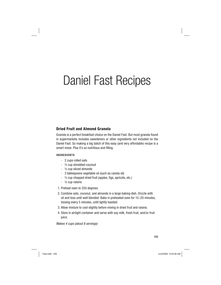# Daniel Fast Recipes

#### **Dried Fruit and Almond Granola**

Granola is a perfect breakfast choice on the Daniel Fast. But most granola found in supermarkets includes sweeteners or other ingredients not included on the Daniel Fast. So making a big batch of this easy (and very affordable) recipe is a smart move. Plus it's so nutritious and filling.

#### **INGREDIENTS**

- 2 cups rolled oats
- ½ cup shredded coconut
- ½ cup sliced almonds
- 3 tablespoons vegetable oil (such as canola oil)
- $\frac{1}{2}$  cup chopped dried fruit (apples, figs, apricots, etc.)
- ½ cup raisins
- 1. Preheat oven to 350 degrees.
- 2. Combine oats, coconut, and almonds in a large baking dish. Drizzle with oil and toss until well blended. Bake in preheated oven for 15–20 minutes, tossing every 5 minutes, until lightly toasted.
- 3. Allow mixture to cool slightly before mixing in dried fruit and raisins.
- 4. Store in airtight container and serve with soy milk, fresh fruit, and/or fruit juice.

#### *Makes 4 cups (about 8 servings)*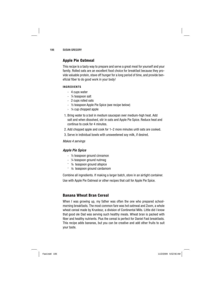#### **Apple Pie Oatmeal**

This recipe is a tasty way to prepare and serve a great meal for yourself and your family. Rolled oats are an excellent food choice for breakfast because they provide valuable protein, stave off hunger for a long period of time, and provide beneficial fiber to do good work in your body!

#### **INGREDIENTS**

- 4 cups water
- ¼ teaspoon salt
- 2 cups rolled oats
- ½ teaspoon Apple Pie Spice (see recipe below)
- ¼ cup chopped apple
- 1. Bring water to a boil in medium saucepan over medium-high heat. Add salt and when dissolved, stir in oats and Apple Pie Spice. Reduce heat and continue to cook for 4 minutes.
- 2. Add chopped apple and cook for 1–2 more minutes until oats are cooked.
- 3. Serve in individual bowls with unsweetened soy milk, if desired.

#### *Makes 4 servings*

#### *Apple Pie Spice*

- ½ teaspoon ground cinnamon
- ¼ teaspoon ground nutmeg
- <sup>1</sup> /8 teaspoon ground allspice
- <sup>1</sup> /8 teaspoon ground cardamom

Combine all ingredients. If making a larger batch, store in an airtight container. Use with Apple Pie Oatmeal or other recipes that call for Apple Pie Spice.

#### **Banana Wheat Bran Cereal**

When I was growing up, my father was often the one who prepared schoolmorning breakfasts. The most common fare was hot oatmeal and Zoom, a whole wheat cereal made by Krusteaz, a division of Continental Mills. Little did I know that good ole Dad was serving such healthy meals. Wheat bran is packed with fiber and healthy nutrients. Plus the cereal is perfect for Daniel Fast breakfasts. This recipe adds bananas, but you can be creative and add other fruits to suit your taste.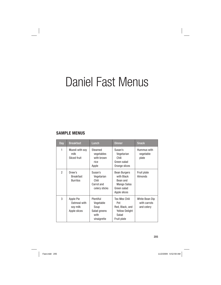# Daniel Fast Menus

#### **SAMPLE MENUS**

| Day            | <b>Breakfast</b>                                      | Lunch                                                                 | <b>Dinner</b>                                                                               | <b>Snack</b>                                 |
|----------------|-------------------------------------------------------|-----------------------------------------------------------------------|---------------------------------------------------------------------------------------------|----------------------------------------------|
| 1              | Muesli with soy<br>milk<br>Sliced fruit               | Steamed<br>vegetables<br>with brown<br>rice<br>Apple                  | Susan's<br>Vegetarian<br>Chili<br>Green salad<br>Orange slices                              | Hummus with<br>vegetable<br>plate            |
| $\mathfrak{p}$ | Drew's<br><b>Breakfast</b><br><b>Burritos</b>         | Susan's<br>Vegetarian<br>Chili<br>Carrot and<br>celery sticks         | <b>Bean Burgers</b><br>with Black<br>Bean and<br>Mango Salsa<br>Green salad<br>Apple slices | Fruit plate<br>Almonds                       |
| 3              | Apple Pie<br>Oatmeal with<br>soy milk<br>Apple slices | Plentiful<br>Vegetable<br>Soup<br>Salad greens<br>with<br>vinaigrette | Tex-Mex Chili<br>Pot<br>Red, Black, and<br><b>Yellow Delight</b><br>Salad<br>Fruit plate    | White Bean Dip<br>with carrots<br>and celery |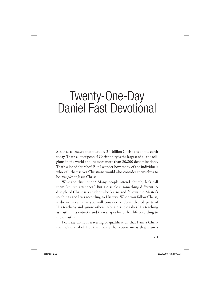# Twenty-One-Day Daniel Fast Devotional

Studies indicate that there are 2.1 billion Christians on the earth today. That's a lot of people! Christianity is the largest of all the religions in the world and includes more than 20,800 denominations. That's a lot of churches! But I wonder how many of the individuals who call themselves Christians would also consider themselves to be *disciples* of Jesus Christ.

Why the distinction? Many people attend church; let's call them "church attendees." But a disciple is something different. A disciple of Christ is a student who learns and follows the Master's teachings and lives according to His way. When you follow Christ, it doesn't mean that you will consider or obey selected parts of His teaching and ignore others. No, a disciple takes His teaching as truth in its entirety and then shapes his or her life according to those truths.

I can say without wavering or qualification that I am a Christian; it's my label. But the mantle that covers me is that I am a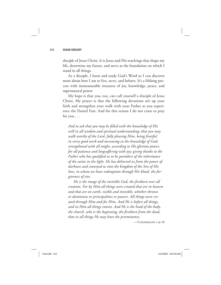disciple of Jesus Christ. It is Jesus and His teachings that shape my life, determine my future, and serve as the foundation on which I stand in all things.

As a disciple, I learn and study God's Word so I can discover more about how I am to live, serve, and behave. It's a lifelong process with immeasurable treasures of joy, knowledge, peace, and supernatural power.

My hope is that you, too, can call yourself a disciple of Jesus Christ. My prayer is that the following devotions stir up your faith and strengthen your walk with your Father as you experience the Daniel Fast. And for this reason I do not cease to pray for you  $\dots$ 

*And to ask that you may be fi lled with the knowledge of His will in all wisdom and spiritual understanding; that you may walk worthy of the Lord, fully pleasing Him, being fruitful in every good work and increasing in the knowledge of God; strengthened with all might, according to His glorious power, for all patience and longsuffering with joy; giving thanks to the* Father who has qualified us to be partakers of the inheritance *of the saints in the light. He has delivered us from the power of darkness and conveyed us into the kingdom of the Son of His love, in whom we have redemption through His blood, the forgiveness of sins.* 

*He is the image of the invisible God, the fi rstborn over all creation. For by Him all things were created that are in heaven and that are on earth, visible and invisible, whether thrones or dominions or principalities or powers. All things were created through Him and for Him. And He is before all things, and in Him all things consist. And He is the head of the body, the church, who is the beginning, the fi rstborn from the dead, that in all things He may have the preeminence.* 

—COLOSSIANS 1:9-18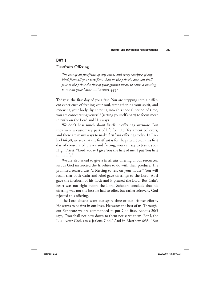#### **DAY 1**

#### **Firstfruits Offering**

The best of all firstfruits of any kind, and every sacrifice of any *kind from all your sacrifi ces, shall be the priest's; also you shall give to the priest the fi rst of your ground meal, to cause a blessing to rest on your house.* — EzEKIEL 44:30

Today is the first day of your fast. You are stepping into a different experience of feeding your soul, strengthening your spirit, and renewing your body. By entering into this special period of time, you are consecrating yourself (setting yourself apart) to focus more intently on the Lord and His ways.

We don't hear much about firstfruit offerings anymore. But they were a customary part of life for Old Testament believers, and there are many ways to make firstfruit offerings today. In Ezekiel 44:30, we see that the firstfruit is for the priest. So on this first day of consecrated prayer and fasting, you can say to Jesus, your High Priest, "Lord, today I give You the first of me. I put You first in my life."

We are also asked to give a firstfruits offering of our resources, just as God instructed the Israelites to do with their produce. The promised reward was "a blessing to rest on your house." You will recall that both Cain and Abel gave offerings to the Lord. Abel gave the firstborn of his flock and it pleased the Lord. But Cain's heart was not right before the Lord. Scholars conclude that his offering was not the best he had to offer, but rather leftovers. God rejected this offering.

The Lord doesn't want our spare time or our leftover efforts. He wants to be first in our lives. He wants the best of us. Throughout Scripture we are commanded to put God first. Exodus 20:5 says, "You shall not bow down to them nor serve them. For I, the LORD your God, am a jealous God." And in Matthew 6:33, "But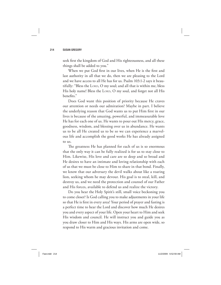seek first the kingdom of God and His righteousness, and all these things shall be added to you."

When we put God first in our lives, when He is the first and last authority in all that we do, then we are pleasing to the Lord and we have access to all He has for us. Psalm 103:1-2 says it beautifully: "Bless the LORD, O my soul; and all that is within me, bless His holy name! Bless the LORD, O my soul, and forget not all His benefits<sup>"</sup>

Does God want this position of priority because He craves our attention or needs our admiration? Maybe in part. I believe the underlying reason that God wants us to put Him first in our lives is because of the amazing, powerful, and immeasurable love He has for each one of us. He wants to pour out His mercy, grace, goodness, wisdom, and blessing over us in abundance. He wants us to be all He created us to be so we can experience a marvelous life and accomplish the good works He has already assigned to us.

The greatness He has planned for each of us is so enormous that the only way it can be fully realized is for us to stay close to Him. Likewise, His love and care are so deep and so broad and He desires to have an intimate and loving relationship with each of us that we must be close to Him to share in that bond. Finally, we know that our adversary the devil walks about like a roaring lion, seeking whom he may devour. His goal is to steal, kill, and destroy us, and we need the protection and counsel of our Father and His forces, available to defend us and realize the victory.

Do you hear the Holy Spirit's still, small voice beckoning you to come closer? Is God calling you to make adjustments in your life so that He is first in every area? Your period of prayer and fasting is a perfect time to hear the Lord and discover how much He desires you and every aspect of your life. Open your heart to Him and seek His wisdom and council. He will instruct you and guide you as you draw closer to Him and His ways. His arms are open wide, so respond to His warm and gracious invitation and come.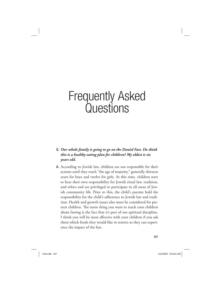## Frequently Asked **Questions**

#### Q. *Our whole family is going to go on the Daniel Fast. Do think this is a healthy eating plan for children? My oldest is six years old.*

A. According to Jewish law, children are not responsible for their actions until they reach "the age of majority," generally thirteen years for boys and twelve for girls. At this time, children start to bear their own responsibility for Jewish ritual law, tradition, and ethics and are privileged to participate in all areas of Jewish community life. Prior to this, the child's parents hold the responsibility for the child's adherence to Jewish law and tradition. Health and growth issues also must be considered for preteen children. The main thing you want to teach your children about fasting is the fact that it's part of our spiritual discipline. I think you will be most effective with your children if you ask them which foods they would like to restrict so they can experience the impact of the fast.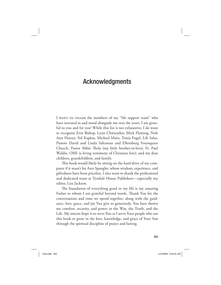## Acknowledgments

I want to thank the members of my "life support team" who have invested in and stood alongside me over the years. I am grateful to you and for you! While this list is not exhaustive, I do want to recognize Erin Bishop, Lynn Chittenden, Mick Fleming, Nole Ann Horsey, Sid Kaplan, Michael Main, Tonia Pugel, Lili Salas, Pastors David and Linda Saltzman and Ellensburg Foursquare Church, Pastor Abbie Thela (my little brother-in-love), Fr. Paul Waldie, OMI (a living testimony of Christian love), and my dear children, grandchildren, and family.

This book would likely be sitting on the hard drive of my computer if it wasn't for Ann Spangler, whose wisdom, experience, and giftedness have been priceless. I also want to thank the professional and dedicated team at Tyndale House Publishers—especially my editor, Lisa Jackson.

The foundation of everything good in my life is my amazing Father to whom I am grateful beyond words. Thank You for the conversations and time we spend together, along with the guidance, love, grace, and joy You give so generously. You have shown me comfort, security, and power in the Way, the Truth, and the Life. My sincere hope is to serve You as I serve Your people who use this book to grow in the love, knowledge, and grace of Your Son through the spiritual discipline of prayer and fasting.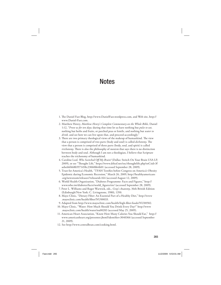## **Notes**

- 1. The Daniel Fast Blog, http://www.DanielFast.wordpress.com, and Web site, http:// www.Daniel-Fast.com.
- 2. Matthew Henry, *Matthew Henry's Complete Commentary on the Whole Bible,* Daniel 1:12, "*Prove us for ten days;* during that time let us have nothing but *pulse to eat,* nothing but herbs and fruits, or parched peas or lentils, and nothing but *water to drink,* and see how we can live upon that, and proceed accordingly."
- 3. There are two primary theological views of the makeup of humankind. The view that a person is comprised of two parts (body and soul) is called *dichotomy*. The view that a person is comprised of three parts (body, soul, and spirit) is called *trichotomy*. There is also the philosophy of *monism* that says there is no distinction between body and soul. Although I am not a theologian, I believe that Scripture teaches the trichotomy of humankind.
- 4. Caroline Leaf, *Who Switched Off My Brain?* (Dallas: Switch On Your Brain USA LP, 2009), or see "Thought Life," https://www.drleaf.net/osc/thoughtlife.php?osCsid=3f aebe66f468b5971458c23060bb4b01 (accessed September 28, 2009).
- 5. Trust for America's Health, "TFAH Testifies before Congress on America's Obesity Epidemic during Economic Recession," March 26, 2009, http://healthyamericans .org/newsroom/releases/?releaseid=164 (accessed August 12, 2009).
- 6. World Health Organization, "Diabetes Programme: Facts and Figures," http:// www.who.int/diabetes/facts/world\_figures/en/ (accessed September 28, 2009).
- 7. Peter L. Williams and Roger Warwick, eds., *Gray's Anatomy*, 36th British Edition (Edinburgh/New York: C. Livingstone, 1980), 1350.
- 8. Mayo Clinic, "Dietary Fiber: An Essential Part of a Healthy Diet," http://www .mayoclinic.com/health/fiber/NU00033.
- 9. Adapted from http://www.mayoclinic.com/health/high-fiber-foods/NU00582.
- 10. Mayo Clinic, "Water: How Much Should You Drink Every Day?" http://www .mayoclinic.com/health/water/nu00283 (accessed May 25, 2009).
- 11. American Heart Association, "Know How Many Calories You Should Eat," http:// www.americanheart.org/presenter.jhtml?identifier=3040366 (accessed September 21, 2009).
- 12. See http://www.centralbean.com/cooking.html.